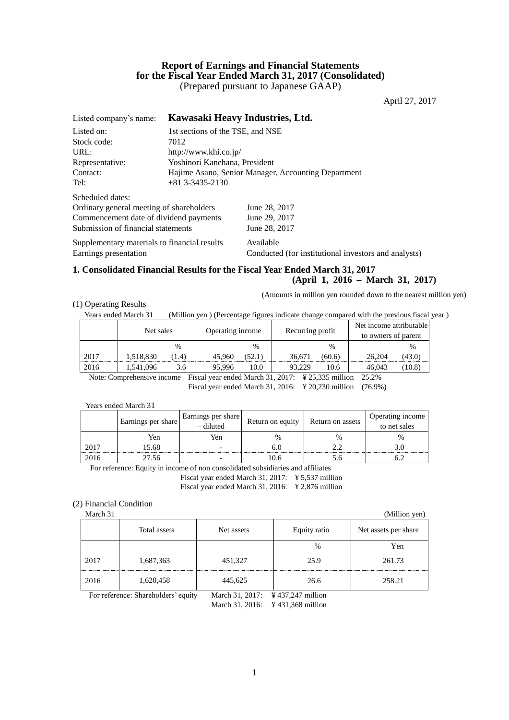# **Report of Earnings and Financial Statements for the Fiscal Year Ended March 31, 2017 (Consolidated)** (Prepared pursuant to Japanese GAAP)

April 27, 2017

| Listed company's name:                       |                                                     | Kawasaki Heavy Industries, Ltd.                      |  |  |  |  |
|----------------------------------------------|-----------------------------------------------------|------------------------------------------------------|--|--|--|--|
| Listed on:                                   |                                                     | 1st sections of the TSE, and NSE                     |  |  |  |  |
| Stock code:                                  | 7012                                                |                                                      |  |  |  |  |
| URL:                                         |                                                     | http://www.khi.co.jp/                                |  |  |  |  |
| Representative:                              | Yoshinori Kanehana, President                       |                                                      |  |  |  |  |
| Contact:                                     | Hajime Asano, Senior Manager, Accounting Department |                                                      |  |  |  |  |
| Tel:                                         | $+81$ 3-3435-2130                                   |                                                      |  |  |  |  |
| Scheduled dates:                             |                                                     |                                                      |  |  |  |  |
| Ordinary general meeting of shareholders     |                                                     | June 28, 2017                                        |  |  |  |  |
| Commencement date of dividend payments       |                                                     | June 29, 2017                                        |  |  |  |  |
| Submission of financial statements           |                                                     | June 28, 2017                                        |  |  |  |  |
| Supplementary materials to financial results |                                                     | Available                                            |  |  |  |  |
| Earnings presentation                        |                                                     | Conducted (for institutional investors and analysts) |  |  |  |  |
|                                              |                                                     |                                                      |  |  |  |  |

# **1. Consolidated Financial Results for the Fiscal Year Ended March 31, 2017**

### **(April 1, 2016 – March 31, 2017)**

(Amounts in million yen rounded down to the nearest million yen)

### (1) Operating Results

Years ended March 31 (Million yen ) (Percentage figures indicate change compared with the previous fiscal year)

|                                                                                                                                                                                                                                                                                                                                                              | Net sales |       | Operating income |               | Recurring profit |               | Net income attributable<br>to owners of parent |        |
|--------------------------------------------------------------------------------------------------------------------------------------------------------------------------------------------------------------------------------------------------------------------------------------------------------------------------------------------------------------|-----------|-------|------------------|---------------|------------------|---------------|------------------------------------------------|--------|
|                                                                                                                                                                                                                                                                                                                                                              |           | $\%$  |                  | $\frac{0}{0}$ |                  | $\frac{0}{0}$ |                                                |        |
| 2017                                                                                                                                                                                                                                                                                                                                                         | 1.518.830 | (1.4) | 45,960           | (52.1)        | 36.671           | (60.6)        | 26,204                                         | (43.0) |
| 2016                                                                                                                                                                                                                                                                                                                                                         | 1.541.096 | 3.6   | 95.996           | 10.0          | 93.229           | 10.6          | 46,043                                         | (10.8) |
| $\cap$ $\cap$ $\cap$<br>$\Gamma$ 1 111 1010017 VOE005 11<br>$\mathbf{M}$ and $\mathbf{M}$ and $\mathbf{M}$ and $\mathbf{M}$ and $\mathbf{M}$ and $\mathbf{M}$ and $\mathbf{M}$ and $\mathbf{M}$ and $\mathbf{M}$ and $\mathbf{M}$ and $\mathbf{M}$ and $\mathbf{M}$ and $\mathbf{M}$ and $\mathbf{M}$ and $\mathbf{M}$ and $\mathbf{M}$ and $\mathbf{M}$ and |           |       |                  |               |                  |               |                                                |        |

Note: Comprehensive income Fiscal year ended March 31, 2017: ¥ 25,335 million 25.2% Fiscal year ended March 31, 2016: ¥ 20,230 million (76.9%)

### Years ended March 31

|      | Earnings per share | Earnings per share<br>- diluted | Return on equity | Return on assets | Operating income<br>$\frac{6}{10}$ to net sales |
|------|--------------------|---------------------------------|------------------|------------------|-------------------------------------------------|
|      | Yen                | Yen                             | $\%$             | $\%$             | $\%$                                            |
| 2017 | 15.68              |                                 | b.l              |                  |                                                 |
| 2016 | 27.56              |                                 | 0.6              |                  |                                                 |

For reference: Equity in income of non consolidated subsidiaries and affiliates

Fiscal year ended March 31, 2017: ¥ 5,537 million

Fiscal year ended March 31, 2016: ¥ 2,876 million

### (2) Financial Condition

March 31 (Million yen) Total assets Net assets Net assets Equity ratio Net assets per share % Yen 2017 1,687,363 451,327 25.9 261.73 2016 1,620,458 445,625 26.6 258.21

For reference: Shareholders' equity March 31, 2017: ¥ 437,247 million

March 31, 2016: ¥ 431,368 million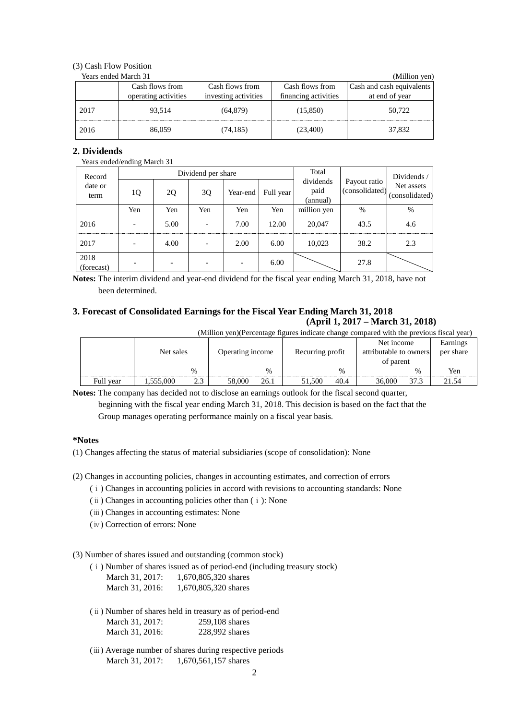# (3) Cash Flow Position

| Years ended March 31 | (Million yen)        |                      |                      |                           |
|----------------------|----------------------|----------------------|----------------------|---------------------------|
|                      | Cash flows from      | Cash flows from      | Cash flows from      | Cash and cash equivalents |
|                      | operating activities | investing activities | financing activities | at end of year            |
| 2017                 | 93.514               | (64, 879)            | (15, 850)            | 50.722                    |
| 2016                 | 86,059               | (74, 185)            | (23,400)             | 37,832                    |

# **2. Dividends**

Years ended/ending March 31

| Record             |     |      | Dividend per share |          | Total     |                               | Dividends /                    |                              |  |
|--------------------|-----|------|--------------------|----------|-----------|-------------------------------|--------------------------------|------------------------------|--|
| date or<br>term    | 1Q  | 2Q   | 3Q                 | Year-end | Full year | dividends<br>paid<br>(annual) | Payout ratio<br>(consolidated) | Net assets<br>(consolidated) |  |
|                    | Yen | Yen  | Yen                | Yen      | Yen       | million yen                   | $\%$                           | %                            |  |
| 2016               |     | 5.00 |                    | 7.00     | 12.00     | 20,047                        | 43.5                           | 4.6                          |  |
| 2017               |     | 4.00 |                    | 2.00     | 6.00      | 10,023                        | 38.2                           | 2.3                          |  |
| 2018<br>(forecast) |     |      |                    |          | 6.00      |                               | 27.8                           |                              |  |

**Notes:** The interim dividend and year-end dividend for the fiscal year ending March 31, 2018, have not been determined.

# **3. Forecast of Consolidated Earnings for the Fiscal Year Ending March 31, 2018 (April 1, 2017 – March 31, 2018)**

(Million yen)(Percentage figures indicate change compared with the previous fiscal year)

|           | Net sales |      | Operating income |               | Recurring profit |      | Net income<br>attributable to owners<br>of parent |      | Earnings<br>per share |
|-----------|-----------|------|------------------|---------------|------------------|------|---------------------------------------------------|------|-----------------------|
|           |           | $\%$ |                  | $\frac{0}{0}$ |                  | $\%$ |                                                   | $\%$ | Yen                   |
| Full year | 1,555,000 | 2.3  | 58,000           | 26.1          | 51.500           | 40.4 | 36,000                                            | 37.3 | 21.54                 |

**Notes:** The company has decided not to disclose an earnings outlook for the fiscal second quarter,

beginning with the fiscal year ending March 31, 2018. This decision is based on the fact that the Group manages operating performance mainly on a fiscal year basis.

### **\*Notes**

(1) Changes affecting the status of material subsidiaries (scope of consolidation): None

- (2) Changes in accounting policies, changes in accounting estimates, and correction of errors
	- (ⅰ) Changes in accounting policies in accord with revisions to accounting standards: None
	- (ⅱ) Changes in accounting policies other than (ⅰ): None
	- (ⅲ) Changes in accounting estimates: None
	- (ⅳ) Correction of errors: None

(3) Number of shares issued and outstanding (common stock)

(ⅰ) Number of shares issued as of period-end (including treasury stock) March 31, 2017: 1,670,805,320 shares

- March 31, 2016: 1,670,805,320 shares
- (ⅱ) Number of shares held in treasury as of period-end March 31, 2017: 259,108 shares<br>March 31, 2016: 228,992 shares March 31, 2016:
- (ⅲ) Average number of shares during respective periods March 31, 2017: 1,670,561,157 shares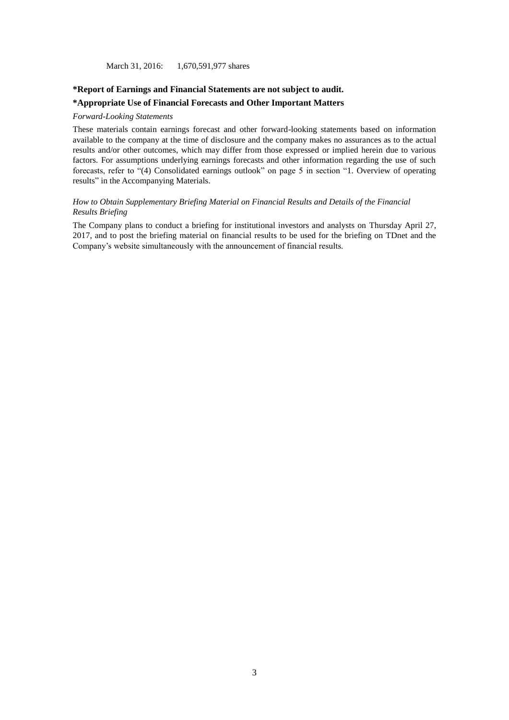March 31, 2016: 1,670,591,977 shares

### **\*Report of Earnings and Financial Statements are not subject to audit.**

### **\*Appropriate Use of Financial Forecasts and Other Important Matters**

### *Forward-Looking Statements*

These materials contain earnings forecast and other forward-looking statements based on information available to the company at the time of disclosure and the company makes no assurances as to the actual results and/or other outcomes, which may differ from those expressed or implied herein due to various factors. For assumptions underlying earnings forecasts and other information regarding the use of such forecasts, refer to "(4) Consolidated earnings outlook" on page 5 in section "1. Overview of operating results" in the Accompanying Materials.

### *How to Obtain Supplementary Briefing Material on Financial Results and Details of the Financial Results Briefing*

The Company plans to conduct a briefing for institutional investors and analysts on Thursday April 27, 2017, and to post the briefing material on financial results to be used for the briefing on TDnet and the Company's website simultaneously with the announcement of financial results.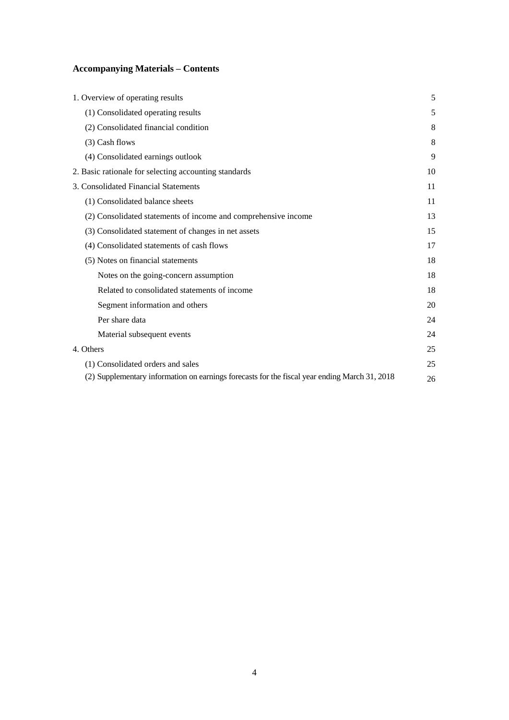# **Accompanying Materials – Contents**

| 1. Overview of operating results                                                              | 5  |
|-----------------------------------------------------------------------------------------------|----|
| (1) Consolidated operating results                                                            | 5  |
| (2) Consolidated financial condition                                                          | 8  |
| (3) Cash flows                                                                                | 8  |
| (4) Consolidated earnings outlook                                                             | 9  |
| 2. Basic rationale for selecting accounting standards                                         | 10 |
| 3. Consolidated Financial Statements                                                          | 11 |
| (1) Consolidated balance sheets                                                               | 11 |
| (2) Consolidated statements of income and comprehensive income                                | 13 |
| (3) Consolidated statement of changes in net assets                                           | 15 |
| (4) Consolidated statements of cash flows                                                     | 17 |
| (5) Notes on financial statements                                                             | 18 |
| Notes on the going-concern assumption                                                         | 18 |
| Related to consolidated statements of income                                                  | 18 |
| Segment information and others                                                                | 20 |
| Per share data                                                                                | 24 |
| Material subsequent events                                                                    | 24 |
| 4. Others                                                                                     | 25 |
| (1) Consolidated orders and sales                                                             | 25 |
| (2) Supplementary information on earnings forecasts for the fiscal year ending March 31, 2018 | 26 |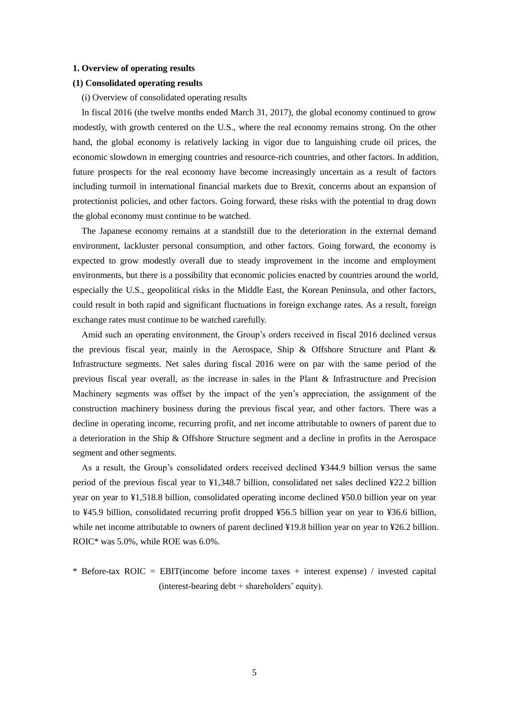### **1. Overview of operating results**

### **(1) Consolidated operating results**

(i) Overview of consolidated operating results

In fiscal 2016 (the twelve months ended March 31, 2017), the global economy continued to grow modestly, with growth centered on the U.S., where the real economy remains strong. On the other hand, the global economy is relatively lacking in vigor due to languishing crude oil prices, the economic slowdown in emerging countries and resource-rich countries, and other factors. In addition, future prospects for the real economy have become increasingly uncertain as a result of factors including turmoil in international financial markets due to Brexit, concerns about an expansion of protectionist policies, and other factors. Going forward, these risks with the potential to drag down the global economy must continue to be watched.

The Japanese economy remains at a standstill due to the deterioration in the external demand environment, lackluster personal consumption, and other factors. Going forward, the economy is expected to grow modestly overall due to steady improvement in the income and employment environments, but there is a possibility that economic policies enacted by countries around the world, especially the U.S., geopolitical risks in the Middle East, the Korean Peninsula, and other factors, could result in both rapid and significant fluctuations in foreign exchange rates. As a result, foreign exchange rates must continue to be watched carefully.

Amid such an operating environment, the Group's orders received in fiscal 2016 declined versus the previous fiscal year, mainly in the Aerospace, Ship & Offshore Structure and Plant & Infrastructure segments. Net sales during fiscal 2016 were on par with the same period of the previous fiscal year overall, as the increase in sales in the Plant & Infrastructure and Precision Machinery segments was offset by the impact of the yen's appreciation, the assignment of the construction machinery business during the previous fiscal year, and other factors. There was a decline in operating income, recurring profit, and net income attributable to owners of parent due to a deterioration in the Ship & Offshore Structure segment and a decline in profits in the Aerospace segment and other segments.

As a result, the Group's consolidated orders received declined ¥344.9 billion versus the same period of the previous fiscal year to ¥1,348.7 billion, consolidated net sales declined ¥22.2 billion year on year to ¥1,518.8 billion, consolidated operating income declined ¥50.0 billion year on year to ¥45.9 billion, consolidated recurring profit dropped ¥56.5 billion year on year to ¥36.6 billion, while net income attributable to owners of parent declined ¥19.8 billion year on year to ¥26.2 billion. ROIC\* was 5.0%, while ROE was 6.0%.

\* Before-tax ROIC = EBIT(income before income taxes + interest expense) / invested capital (interest-bearing debt + shareholders' equity).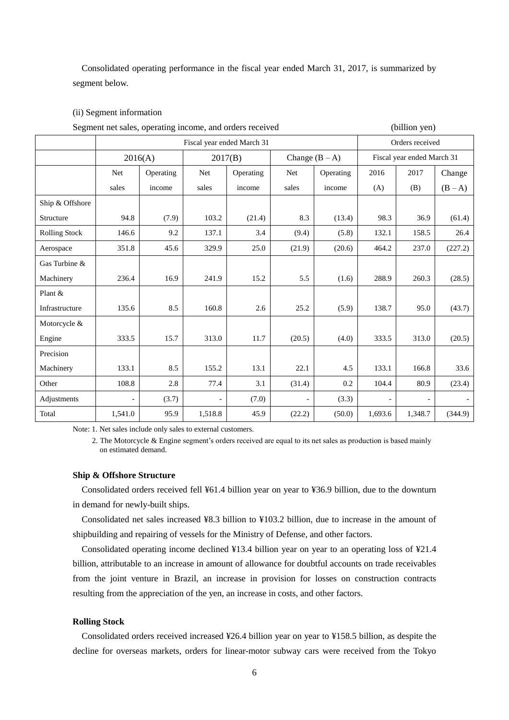Consolidated operating performance in the fiscal year ended March 31, 2017, is summarized by segment below.

### (ii) Segment information

| Segment net sales, operating income, and orders received |                          |           |                          |                            |                          |           | (billion yen) |                            |         |  |
|----------------------------------------------------------|--------------------------|-----------|--------------------------|----------------------------|--------------------------|-----------|---------------|----------------------------|---------|--|
|                                                          |                          |           |                          | Fiscal year ended March 31 |                          |           |               | Orders received            |         |  |
|                                                          |                          | 2016(A)   | 2017(B)                  |                            | Change $(B - A)$         |           |               | Fiscal year ended March 31 |         |  |
|                                                          | Net                      | Operating | Net                      | Operating                  | Net                      | Operating | 2016          | 2017                       | Change  |  |
|                                                          | sales                    | income    | sales                    | income                     | sales                    | income    | (A)           | (B)                        | $(B-A)$ |  |
| Ship & Offshore                                          |                          |           |                          |                            |                          |           |               |                            |         |  |
| Structure                                                | 94.8                     | (7.9)     | 103.2                    | (21.4)                     | 8.3                      | (13.4)    | 98.3          | 36.9                       | (61.4)  |  |
| <b>Rolling Stock</b>                                     | 146.6                    | 9.2       | 137.1                    | 3.4                        | (9.4)                    | (5.8)     | 132.1         | 158.5                      | 26.4    |  |
| Aerospace                                                | 351.8                    | 45.6      | 329.9                    | 25.0                       | (21.9)                   | (20.6)    | 464.2         | 237.0                      | (227.2) |  |
| Gas Turbine &                                            |                          |           |                          |                            |                          |           |               |                            |         |  |
| Machinery                                                | 236.4                    | 16.9      | 241.9                    | 15.2                       | 5.5                      | (1.6)     | 288.9         | 260.3                      | (28.5)  |  |
| Plant &                                                  |                          |           |                          |                            |                          |           |               |                            |         |  |
| Infrastructure                                           | 135.6                    | 8.5       | 160.8                    | 2.6                        | 25.2                     | (5.9)     | 138.7         | 95.0                       | (43.7)  |  |
| Motorcycle &                                             |                          |           |                          |                            |                          |           |               |                            |         |  |
| Engine                                                   | 333.5                    | 15.7      | 313.0                    | 11.7                       | (20.5)                   | (4.0)     | 333.5         | 313.0                      | (20.5)  |  |
| Precision                                                |                          |           |                          |                            |                          |           |               |                            |         |  |
| Machinery                                                | 133.1                    | 8.5       | 155.2                    | 13.1                       | 22.1                     | 4.5       | 133.1         | 166.8                      | 33.6    |  |
| Other                                                    | 108.8                    | 2.8       | 77.4                     | 3.1                        | (31.4)                   | 0.2       | 104.4         | 80.9                       | (23.4)  |  |
| Adjustments                                              | $\overline{\phantom{0}}$ | (3.7)     | $\overline{\phantom{0}}$ | (7.0)                      | $\overline{\phantom{0}}$ | (3.3)     |               |                            |         |  |
| Total                                                    | 1,541.0                  | 95.9      | 1,518.8                  | 45.9                       | (22.2)                   | (50.0)    | 1,693.6       | 1,348.7                    | (344.9) |  |

Note: 1. Net sales include only sales to external customers.

2. The Motorcycle & Engine segment's orders received are equal to its net sales as production is based mainly on estimated demand.

### **Ship & Offshore Structure**

Consolidated orders received fell ¥61.4 billion year on year to ¥36.9 billion, due to the downturn in demand for newly-built ships.

Consolidated net sales increased ¥8.3 billion to ¥103.2 billion, due to increase in the amount of shipbuilding and repairing of vessels for the Ministry of Defense, and other factors.

Consolidated operating income declined ¥13.4 billion year on year to an operating loss of ¥21.4 billion, attributable to an increase in amount of allowance for doubtful accounts on trade receivables from the joint venture in Brazil, an increase in provision for losses on construction contracts resulting from the appreciation of the yen, an increase in costs, and other factors.

### **Rolling Stock**

Consolidated orders received increased ¥26.4 billion year on year to ¥158.5 billion, as despite the decline for overseas markets, orders for linear-motor subway cars were received from the Tokyo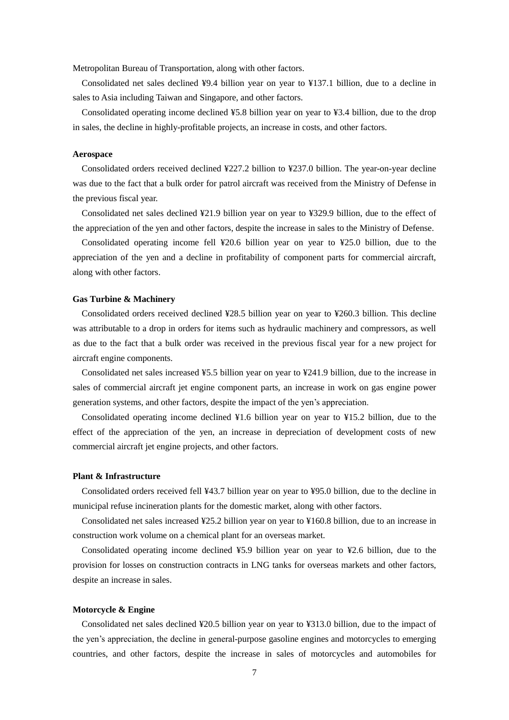Metropolitan Bureau of Transportation, along with other factors.

Consolidated net sales declined ¥9.4 billion year on year to ¥137.1 billion, due to a decline in sales to Asia including Taiwan and Singapore, and other factors.

Consolidated operating income declined ¥5.8 billion year on year to ¥3.4 billion, due to the drop in sales, the decline in highly-profitable projects, an increase in costs, and other factors.

### **Aerospace**

Consolidated orders received declined ¥227.2 billion to ¥237.0 billion. The year-on-year decline was due to the fact that a bulk order for patrol aircraft was received from the Ministry of Defense in the previous fiscal year.

Consolidated net sales declined ¥21.9 billion year on year to ¥329.9 billion, due to the effect of the appreciation of the yen and other factors, despite the increase in sales to the Ministry of Defense.

Consolidated operating income fell ¥20.6 billion year on year to ¥25.0 billion, due to the appreciation of the yen and a decline in profitability of component parts for commercial aircraft, along with other factors.

### **Gas Turbine & Machinery**

Consolidated orders received declined ¥28.5 billion year on year to ¥260.3 billion. This decline was attributable to a drop in orders for items such as hydraulic machinery and compressors, as well as due to the fact that a bulk order was received in the previous fiscal year for a new project for aircraft engine components.

Consolidated net sales increased ¥5.5 billion year on year to ¥241.9 billion, due to the increase in sales of commercial aircraft jet engine component parts, an increase in work on gas engine power generation systems, and other factors, despite the impact of the yen's appreciation.

Consolidated operating income declined ¥1.6 billion year on year to ¥15.2 billion, due to the effect of the appreciation of the yen, an increase in depreciation of development costs of new commercial aircraft jet engine projects, and other factors.

### **Plant & Infrastructure**

Consolidated orders received fell ¥43.7 billion year on year to ¥95.0 billion, due to the decline in municipal refuse incineration plants for the domestic market, along with other factors.

Consolidated net sales increased ¥25.2 billion year on year to ¥160.8 billion, due to an increase in construction work volume on a chemical plant for an overseas market.

Consolidated operating income declined ¥5.9 billion year on year to ¥2.6 billion, due to the provision for losses on construction contracts in LNG tanks for overseas markets and other factors, despite an increase in sales.

#### **Motorcycle & Engine**

Consolidated net sales declined ¥20.5 billion year on year to ¥313.0 billion, due to the impact of the yen's appreciation, the decline in general-purpose gasoline engines and motorcycles to emerging countries, and other factors, despite the increase in sales of motorcycles and automobiles for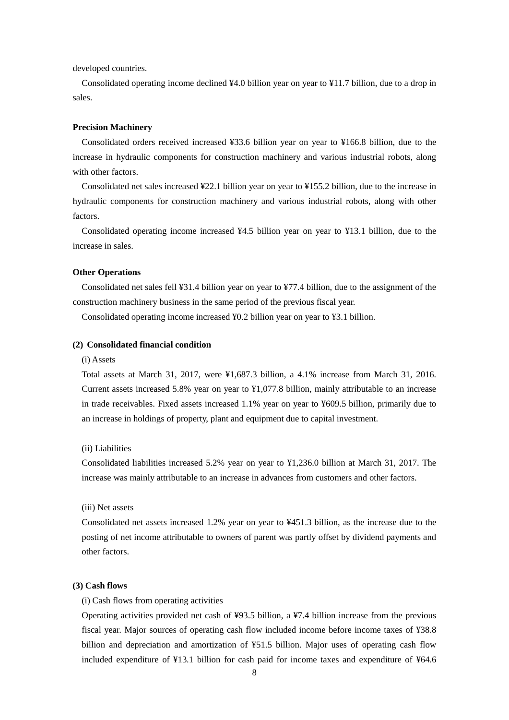developed countries.

Consolidated operating income declined ¥4.0 billion year on year to ¥11.7 billion, due to a drop in sales.

### **Precision Machinery**

Consolidated orders received increased ¥33.6 billion year on year to ¥166.8 billion, due to the increase in hydraulic components for construction machinery and various industrial robots, along with other factors.

Consolidated net sales increased ¥22.1 billion year on year to ¥155.2 billion, due to the increase in hydraulic components for construction machinery and various industrial robots, along with other factors.

Consolidated operating income increased ¥4.5 billion year on year to ¥13.1 billion, due to the increase in sales.

### **Other Operations**

Consolidated net sales fell ¥31.4 billion year on year to ¥77.4 billion, due to the assignment of the construction machinery business in the same period of the previous fiscal year.

Consolidated operating income increased ¥0.2 billion year on year to ¥3.1 billion.

### **(2) Consolidated financial condition**

### (i) Assets

Total assets at March 31, 2017, were ¥1,687.3 billion, a 4.1% increase from March 31, 2016. Current assets increased 5.8% year on year to ¥1,077.8 billion, mainly attributable to an increase in trade receivables. Fixed assets increased 1.1% year on year to ¥609.5 billion, primarily due to an increase in holdings of property, plant and equipment due to capital investment.

### (ii) Liabilities

Consolidated liabilities increased 5.2% year on year to ¥1,236.0 billion at March 31, 2017. The increase was mainly attributable to an increase in advances from customers and other factors.

#### (iii) Net assets

Consolidated net assets increased 1.2% year on year to ¥451.3 billion, as the increase due to the posting of net income attributable to owners of parent was partly offset by dividend payments and other factors.

### **(3) Cash flows**

(i) Cash flows from operating activities

Operating activities provided net cash of ¥93.5 billion, a ¥7.4 billion increase from the previous fiscal year. Major sources of operating cash flow included income before income taxes of ¥38.8 billion and depreciation and amortization of ¥51.5 billion. Major uses of operating cash flow included expenditure of ¥13.1 billion for cash paid for income taxes and expenditure of ¥64.6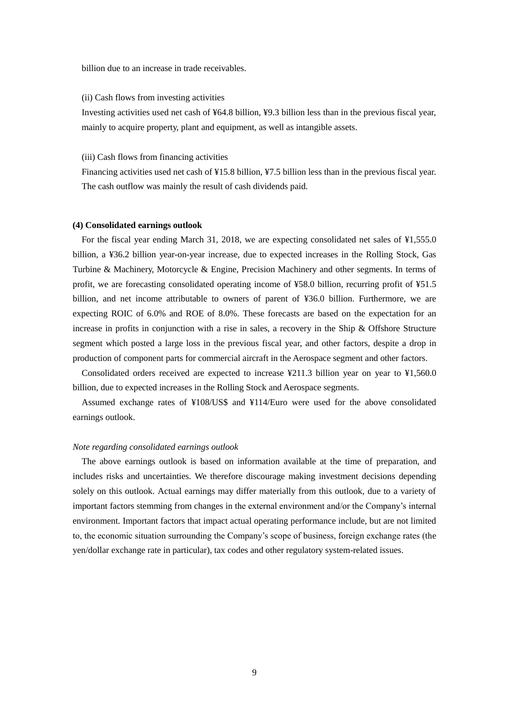billion due to an increase in trade receivables.

### (ii) Cash flows from investing activities

Investing activities used net cash of ¥64.8 billion, ¥9.3 billion less than in the previous fiscal year, mainly to acquire property, plant and equipment, as well as intangible assets.

### (iii) Cash flows from financing activities

Financing activities used net cash of ¥15.8 billion, ¥7.5 billion less than in the previous fiscal year. The cash outflow was mainly the result of cash dividends paid.

#### **(4) Consolidated earnings outlook**

For the fiscal year ending March 31, 2018, we are expecting consolidated net sales of ¥1,555.0 billion, a ¥36.2 billion year-on-year increase, due to expected increases in the Rolling Stock, Gas Turbine & Machinery, Motorcycle & Engine, Precision Machinery and other segments. In terms of profit, we are forecasting consolidated operating income of ¥58.0 billion, recurring profit of ¥51.5 billion, and net income attributable to owners of parent of ¥36.0 billion. Furthermore, we are expecting ROIC of 6.0% and ROE of 8.0%. These forecasts are based on the expectation for an increase in profits in conjunction with a rise in sales, a recovery in the Ship & Offshore Structure segment which posted a large loss in the previous fiscal year, and other factors, despite a drop in production of component parts for commercial aircraft in the Aerospace segment and other factors.

Consolidated orders received are expected to increase ¥211.3 billion year on year to ¥1,560.0 billion, due to expected increases in the Rolling Stock and Aerospace segments.

Assumed exchange rates of ¥108/US\$ and ¥114/Euro were used for the above consolidated earnings outlook.

### *Note regarding consolidated earnings outlook*

The above earnings outlook is based on information available at the time of preparation, and includes risks and uncertainties. We therefore discourage making investment decisions depending solely on this outlook. Actual earnings may differ materially from this outlook, due to a variety of important factors stemming from changes in the external environment and/or the Company's internal environment. Important factors that impact actual operating performance include, but are not limited to, the economic situation surrounding the Company's scope of business, foreign exchange rates (the yen/dollar exchange rate in particular), tax codes and other regulatory system-related issues.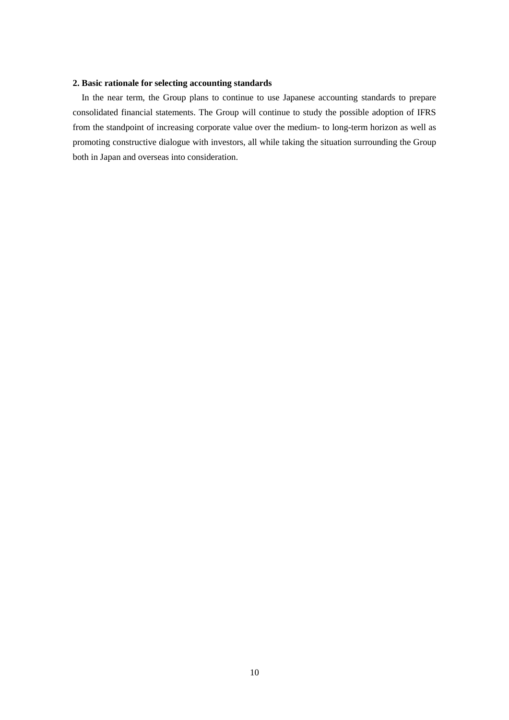# **2. Basic rationale for selecting accounting standards**

In the near term, the Group plans to continue to use Japanese accounting standards to prepare consolidated financial statements. The Group will continue to study the possible adoption of IFRS from the standpoint of increasing corporate value over the medium- to long-term horizon as well as promoting constructive dialogue with investors, all while taking the situation surrounding the Group both in Japan and overseas into consideration.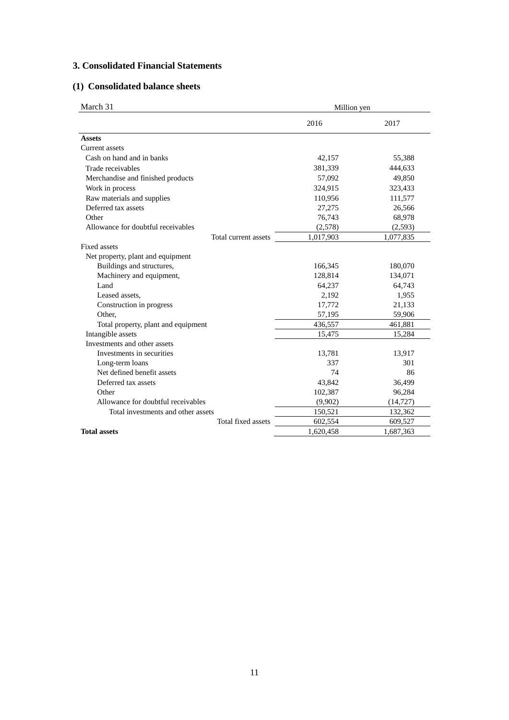# **3. Consolidated Financial Statements**

# **(1) Consolidated balance sheets**

| March 31                            |                      | Million yen |           |  |  |
|-------------------------------------|----------------------|-------------|-----------|--|--|
|                                     |                      | 2016        | 2017      |  |  |
| <b>Assets</b>                       |                      |             |           |  |  |
| <b>Current</b> assets               |                      |             |           |  |  |
| Cash on hand and in banks           |                      | 42,157      | 55,388    |  |  |
| Trade receivables                   |                      | 381,339     | 444,633   |  |  |
| Merchandise and finished products   |                      | 57,092      | 49,850    |  |  |
| Work in process                     |                      | 324,915     | 323,433   |  |  |
| Raw materials and supplies          |                      | 110,956     | 111,577   |  |  |
| Deferred tax assets                 |                      | 27,275      | 26,566    |  |  |
| Other                               |                      | 76,743      | 68,978    |  |  |
| Allowance for doubtful receivables  |                      | (2,578)     | (2, 593)  |  |  |
|                                     | Total current assets | 1,017,903   | 1,077,835 |  |  |
| <b>Fixed assets</b>                 |                      |             |           |  |  |
| Net property, plant and equipment   |                      |             |           |  |  |
| Buildings and structures,           |                      | 166,345     | 180,070   |  |  |
| Machinery and equipment,            |                      | 128,814     | 134,071   |  |  |
| Land                                |                      | 64,237      | 64,743    |  |  |
| Leased assets.                      |                      | 2,192       | 1,955     |  |  |
| Construction in progress            |                      | 17,772      | 21,133    |  |  |
| Other,                              |                      | 57,195      | 59,906    |  |  |
| Total property, plant and equipment |                      | 436,557     | 461,881   |  |  |
| Intangible assets                   |                      | 15,475      | 15,284    |  |  |
| Investments and other assets        |                      |             |           |  |  |
| Investments in securities           |                      | 13,781      | 13,917    |  |  |
| Long-term loans                     |                      | 337         | 301       |  |  |
| Net defined benefit assets          |                      | 74          | 86        |  |  |
| Deferred tax assets                 |                      | 43,842      | 36,499    |  |  |
| Other                               |                      | 102,387     | 96,284    |  |  |
| Allowance for doubtful receivables  |                      | (9,902)     | (14, 727) |  |  |
| Total investments and other assets  |                      | 150,521     | 132,362   |  |  |
|                                     | Total fixed assets   | 602,554     | 609,527   |  |  |
| <b>Total assets</b>                 |                      | 1,620,458   | 1,687,363 |  |  |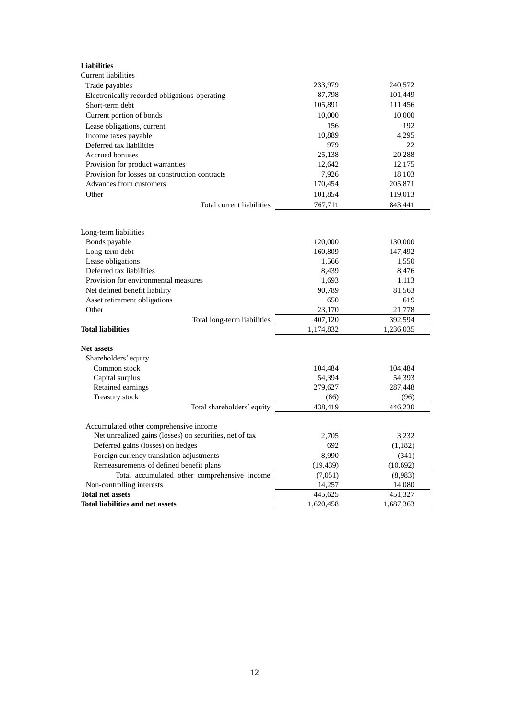| <b>Liabilities</b>                                      |           |           |
|---------------------------------------------------------|-----------|-----------|
| Current liabilities                                     |           |           |
| Trade payables                                          | 233,979   | 240,572   |
| Electronically recorded obligations-operating           | 87,798    | 101,449   |
| Short-term debt                                         | 105,891   | 111,456   |
| Current portion of bonds                                | 10,000    | 10,000    |
| Lease obligations, current                              | 156       | 192       |
| Income taxes payable                                    | 10,889    | 4,295     |
| Deferred tax liabilities                                | 979       | 22        |
| <b>Accrued bonuses</b>                                  | 25,138    | 20,288    |
| Provision for product warranties                        | 12,642    | 12,175    |
| Provision for losses on construction contracts          | 7,926     | 18,103    |
| Advances from customers                                 | 170,454   | 205,871   |
| Other                                                   | 101,854   | 119,013   |
| Total current liabilities                               | 767,711   | 843,441   |
|                                                         |           |           |
| Long-term liabilities                                   |           |           |
| Bonds payable                                           | 120,000   | 130,000   |
| Long-term debt                                          | 160,809   | 147,492   |
| Lease obligations                                       | 1,566     | 1,550     |
| Deferred tax liabilities                                | 8,439     | 8,476     |
| Provision for environmental measures                    | 1,693     | 1,113     |
| Net defined benefit liability                           | 90,789    | 81,563    |
| Asset retirement obligations                            | 650       | 619       |
| Other                                                   | 23,170    | 21,778    |
| Total long-term liabilities                             | 407,120   | 392,594   |
| <b>Total liabilities</b>                                | 1,174,832 | 1,236,035 |
| <b>Net assets</b>                                       |           |           |
| Shareholders' equity                                    |           |           |
| Common stock                                            | 104,484   | 104,484   |
| Capital surplus                                         | 54,394    | 54,393    |
| Retained earnings                                       | 279,627   | 287,448   |
| Treasury stock                                          | (86)      | (96)      |
| Total shareholders' equity                              | 438.419   | 446,230   |
|                                                         |           |           |
| Accumulated other comprehensive income                  |           |           |
| Net unrealized gains (losses) on securities, net of tax | 2,705     | 3,232     |
| Deferred gains (losses) on hedges                       | 692       | (1,182)   |
| Foreign currency translation adjustments                | 8,990     | (341)     |
| Remeasurements of defined benefit plans                 | (19, 439) | (10,692)  |
| Total accumulated other comprehensive income            | (7,051)   | (8,983)   |
| Non-controlling interests                               | 14,257    | 14,080    |
| <b>Total net assets</b>                                 | 445,625   | 451,327   |
| <b>Total liabilities and net assets</b>                 | 1,620,458 | 1,687,363 |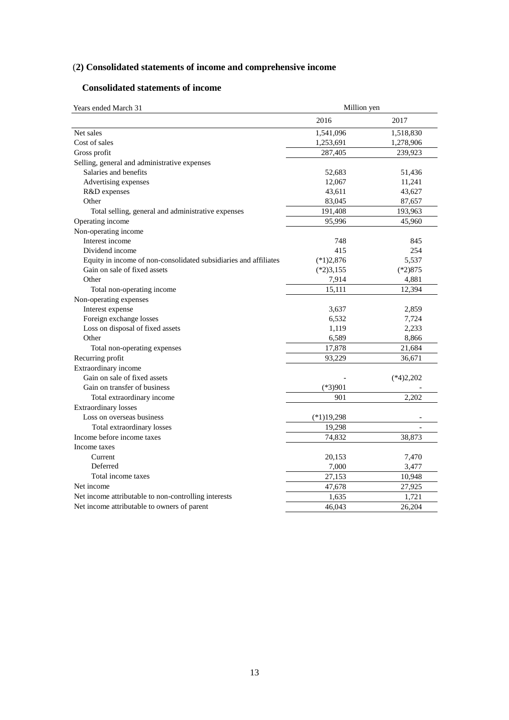# (**2) Consolidated statements of income and comprehensive income**

# **Consolidated statements of income**

| Years ended March 31                                             | Million yen  |             |  |  |
|------------------------------------------------------------------|--------------|-------------|--|--|
|                                                                  | 2016         | 2017        |  |  |
| Net sales                                                        | 1,541,096    | 1,518,830   |  |  |
| Cost of sales                                                    | 1,253,691    | 1,278,906   |  |  |
| Gross profit                                                     | 287,405      | 239,923     |  |  |
| Selling, general and administrative expenses                     |              |             |  |  |
| Salaries and benefits                                            | 52,683       | 51,436      |  |  |
| Advertising expenses                                             | 12,067       | 11,241      |  |  |
| R&D expenses                                                     | 43,611       | 43,627      |  |  |
| Other                                                            | 83,045       | 87,657      |  |  |
| Total selling, general and administrative expenses               | 191,408      | 193,963     |  |  |
| Operating income                                                 | 95,996       | 45,960      |  |  |
| Non-operating income                                             |              |             |  |  |
| Interest income                                                  | 748          | 845         |  |  |
| Dividend income                                                  | 415          | 254         |  |  |
| Equity in income of non-consolidated subsidiaries and affiliates | $(*1)2,876$  | 5,537       |  |  |
| Gain on sale of fixed assets                                     | $(*2)3,155$  | $(*2)875$   |  |  |
| Other                                                            | 7,914        | 4,881       |  |  |
| Total non-operating income                                       | 15,111       | 12,394      |  |  |
| Non-operating expenses                                           |              |             |  |  |
| Interest expense                                                 | 3,637        | 2,859       |  |  |
| Foreign exchange losses                                          | 6,532        | 7,724       |  |  |
| Loss on disposal of fixed assets                                 | 1,119        | 2,233       |  |  |
| Other                                                            | 6,589        | 8,866       |  |  |
| Total non-operating expenses                                     | 17,878       | 21,684      |  |  |
| Recurring profit                                                 | 93,229       | 36,671      |  |  |
| Extraordinary income                                             |              |             |  |  |
| Gain on sale of fixed assets                                     |              | $(*4)2,202$ |  |  |
| Gain on transfer of business                                     | $(*3)901$    |             |  |  |
| Total extraordinary income                                       | 901          | 2,202       |  |  |
| <b>Extraordinary losses</b>                                      |              |             |  |  |
| Loss on overseas business                                        | $(*1)19,298$ |             |  |  |
| Total extraordinary losses                                       | 19,298       |             |  |  |
| Income before income taxes                                       | 74,832       | 38,873      |  |  |
| Income taxes                                                     |              |             |  |  |
| Current                                                          | 20,153       | 7,470       |  |  |
| Deferred                                                         | 7,000        | 3,477       |  |  |
| Total income taxes                                               | 27,153       | 10,948      |  |  |
| Net income                                                       | 47,678       | 27,925      |  |  |
| Net income attributable to non-controlling interests             | 1,635        | 1,721       |  |  |
| Net income attributable to owners of parent                      | 46,043       | 26,204      |  |  |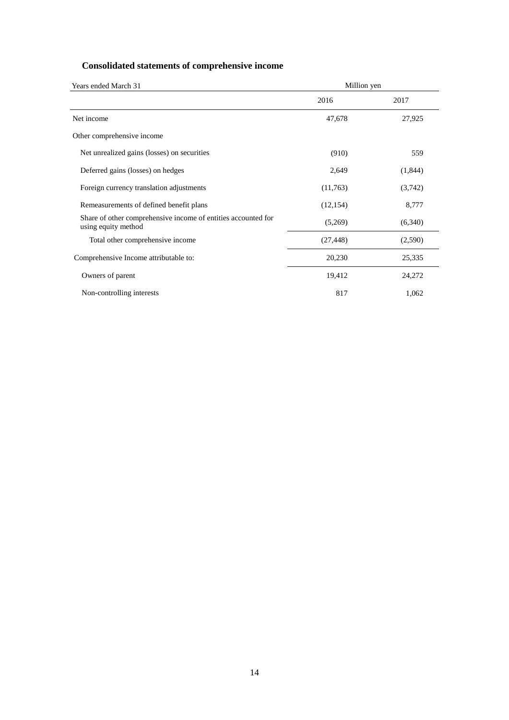# **Consolidated statements of comprehensive income**

| Years ended March 31                                                                 | Million yen |         |  |  |
|--------------------------------------------------------------------------------------|-------------|---------|--|--|
|                                                                                      | 2016        | 2017    |  |  |
| Net income                                                                           | 47,678      | 27,925  |  |  |
| Other comprehensive income                                                           |             |         |  |  |
| Net unrealized gains (losses) on securities                                          | (910)       | 559     |  |  |
| Deferred gains (losses) on hedges                                                    | 2,649       | (1,844) |  |  |
| Foreign currency translation adjustments                                             | (11,763)    | (3,742) |  |  |
| Remeasurements of defined benefit plans                                              | (12, 154)   | 8,777   |  |  |
| Share of other comprehensive income of entities accounted for<br>using equity method | (5,269)     | (6,340) |  |  |
| Total other comprehensive income                                                     | (27, 448)   | (2,590) |  |  |
| Comprehensive Income attributable to:                                                | 20,230      | 25,335  |  |  |
| Owners of parent                                                                     | 19,412      | 24,272  |  |  |
| Non-controlling interests                                                            | 817         | 1,062   |  |  |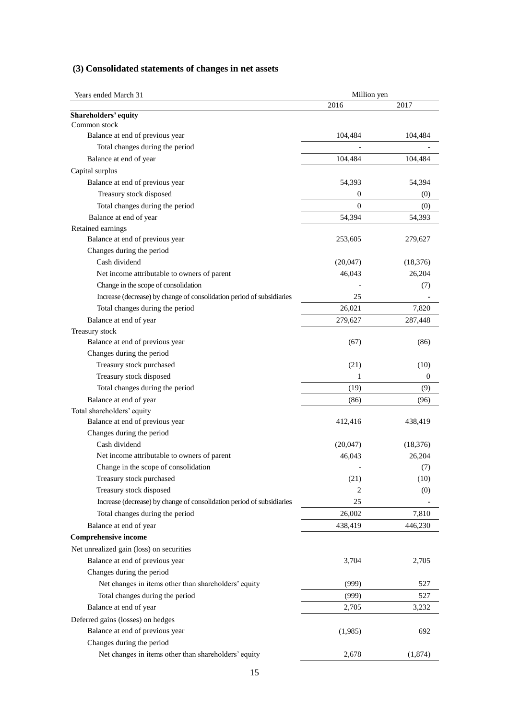# **(3) Consolidated statements of changes in net assets**

| Years ended March 31                                                  | Million yen  |           |
|-----------------------------------------------------------------------|--------------|-----------|
|                                                                       | 2016         | 2017      |
| <b>Shareholders' equity</b>                                           |              |           |
| Common stock                                                          |              |           |
| Balance at end of previous year                                       | 104,484      | 104,484   |
| Total changes during the period                                       |              |           |
| Balance at end of year                                                | 104,484      | 104,484   |
| Capital surplus                                                       |              |           |
| Balance at end of previous year                                       | 54,393       | 54,394    |
| Treasury stock disposed                                               | $\mathbf{0}$ | (0)       |
| Total changes during the period                                       | $\mathbf{0}$ | (0)       |
| Balance at end of year                                                | 54,394       | 54,393    |
| Retained earnings                                                     |              |           |
| Balance at end of previous year                                       | 253,605      | 279,627   |
| Changes during the period                                             |              |           |
| Cash dividend                                                         | (20,047)     | (18, 376) |
| Net income attributable to owners of parent                           | 46,043       | 26,204    |
| Change in the scope of consolidation                                  |              | (7)       |
| Increase (decrease) by change of consolidation period of subsidiaries | 25           |           |
| Total changes during the period                                       | 26,021       | 7,820     |
| Balance at end of year                                                | 279,627      | 287,448   |
| Treasury stock                                                        |              |           |
| Balance at end of previous year                                       | (67)         | (86)      |
| Changes during the period                                             |              |           |
| Treasury stock purchased                                              | (21)         | (10)      |
| Treasury stock disposed                                               | 1            | 0         |
| Total changes during the period                                       | (19)         | (9)       |
| Balance at end of year                                                | (86)         | (96)      |
| Total shareholders' equity                                            |              |           |
| Balance at end of previous year                                       | 412,416      | 438,419   |
| Changes during the period                                             |              |           |
| Cash dividend                                                         | (20,047)     | (18, 376) |
| Net income attributable to owners of parent                           | 46,043       | 26,204    |
| Change in the scope of consolidation                                  |              | (7)       |
| Treasury stock purchased                                              | (21)         | (10)      |
| Treasury stock disposed                                               | 2            | (0)       |
| Increase (decrease) by change of consolidation period of subsidiaries | 25           |           |
| Total changes during the period                                       | 26,002       | 7,810     |
| Balance at end of year                                                | 438,419      | 446,230   |
| <b>Comprehensive income</b>                                           |              |           |
| Net unrealized gain (loss) on securities                              |              |           |
| Balance at end of previous year                                       | 3,704        | 2,705     |
| Changes during the period                                             |              |           |
| Net changes in items other than shareholders' equity                  | (999)        | 527       |
|                                                                       | (999)        |           |
| Total changes during the period                                       |              | 527       |
| Balance at end of year                                                | 2,705        | 3,232     |
| Deferred gains (losses) on hedges                                     |              |           |
| Balance at end of previous year                                       | (1,985)      | 692       |
| Changes during the period                                             |              |           |
| Net changes in items other than shareholders' equity                  | 2,678        | (1,874)   |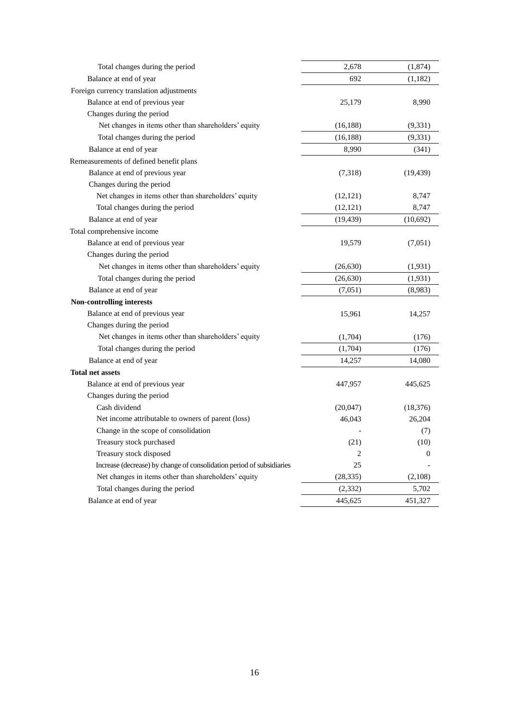| Total changes during the period                                       | 2,678     | (1, 874)         |
|-----------------------------------------------------------------------|-----------|------------------|
| Balance at end of year                                                | 692       | (1,182)          |
| Foreign currency translation adjustments                              |           |                  |
| Balance at end of previous year                                       | 25,179    | 8,990            |
| Changes during the period                                             |           |                  |
| Net changes in items other than shareholders' equity                  | (16, 188) | (9,331)          |
| Total changes during the period                                       | (16, 188) | (9, 331)         |
| Balance at end of year                                                | 8,990     | (341)            |
| Remeasurements of defined benefit plans                               |           |                  |
| Balance at end of previous year                                       | (7,318)   | (19, 439)        |
| Changes during the period                                             |           |                  |
| Net changes in items other than shareholders' equity                  | (12, 121) | 8,747            |
| Total changes during the period                                       | (12, 121) | 8,747            |
| Balance at end of year                                                | (19, 439) | (10,692)         |
| Total comprehensive income                                            |           |                  |
| Balance at end of previous year                                       | 19,579    | (7,051)          |
| Changes during the period                                             |           |                  |
| Net changes in items other than shareholders' equity                  | (26, 630) | (1, 931)         |
| Total changes during the period                                       | (26, 630) | (1, 931)         |
| Balance at end of year                                                | (7,051)   | (8,983)          |
| <b>Non-controlling interests</b>                                      |           |                  |
| Balance at end of previous year                                       | 15,961    | 14,257           |
| Changes during the period                                             |           |                  |
| Net changes in items other than shareholders' equity                  | (1,704)   | (176)            |
| Total changes during the period                                       | (1,704)   | (176)            |
| Balance at end of year                                                | 14,257    | 14,080           |
| <b>Total net assets</b>                                               |           |                  |
| Balance at end of previous year                                       | 447,957   | 445,625          |
| Changes during the period                                             |           |                  |
| Cash dividend                                                         | (20,047)  | (18, 376)        |
| Net income attributable to owners of parent (loss)                    | 46,043    | 26,204           |
| Change in the scope of consolidation                                  |           | (7)              |
| Treasury stock purchased                                              | (21)      | (10)             |
| Treasury stock disposed                                               | 2         | $\boldsymbol{0}$ |
| Increase (decrease) by change of consolidation period of subsidiaries | 25        |                  |
| Net changes in items other than shareholders' equity                  | (28, 335) | (2,108)          |
| Total changes during the period                                       | (2, 332)  | 5,702            |
| Balance at end of year                                                | 445,625   | 451,327          |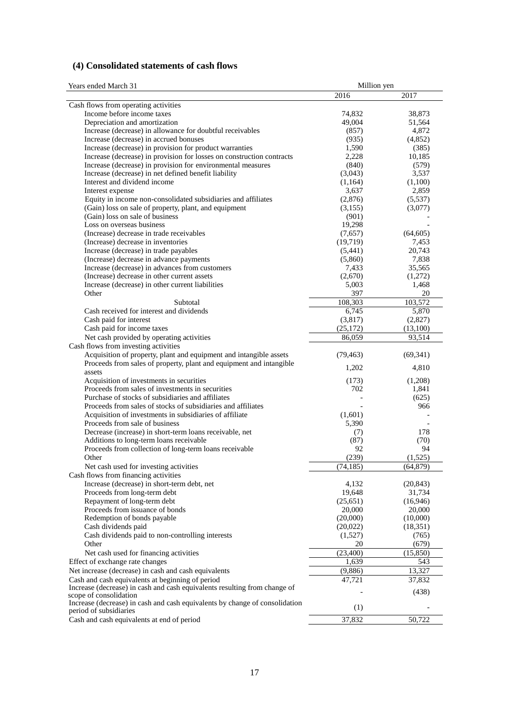# **(4) Consolidated statements of cash flows**

| Years ended March 31                                                                                  | Million yen      |                  |
|-------------------------------------------------------------------------------------------------------|------------------|------------------|
|                                                                                                       | 2016             | 2017             |
| Cash flows from operating activities                                                                  |                  |                  |
| Income before income taxes                                                                            | 74,832           | 38,873           |
| Depreciation and amortization                                                                         | 49,004           | 51,564           |
| Increase (decrease) in allowance for doubtful receivables                                             | (857)            | 4,872            |
| Increase (decrease) in accrued bonuses                                                                | (935)            | (4,852)          |
| Increase (decrease) in provision for product warranties                                               | 1,590            | (385)            |
| Increase (decrease) in provision for losses on construction contracts                                 | 2,228            | 10,185           |
| Increase (decrease) in provision for environmental measures                                           | (840)            | (579)            |
| Increase (decrease) in net defined benefit liability                                                  | (3,043)          | 3,537            |
| Interest and dividend income                                                                          | (1,164)          | (1,100)          |
| Interest expense<br>Equity in income non-consolidated subsidiaries and affiliates                     | 3,637<br>(2,876) | 2,859<br>(5,537) |
| (Gain) loss on sale of property, plant, and equipment                                                 | (3,155)          | (3,077)          |
| (Gain) loss on sale of business                                                                       | (901)            |                  |
| Loss on overseas business                                                                             | 19,298           |                  |
| (Increase) decrease in trade receivables                                                              | (7,657)          | (64, 605)        |
| (Increase) decrease in inventories                                                                    | (19,719)         | 7,453            |
| Increase (decrease) in trade payables                                                                 | (5,441)          | 20,743           |
| (Increase) decrease in advance payments                                                               | (5,860)          | 7,838            |
| Increase (decrease) in advances from customers                                                        | 7,433            | 35,565           |
| (Increase) decrease in other current assets                                                           | (2,670)          | (1,272)          |
| Increase (decrease) in other current liabilities                                                      | 5,003            | 1,468            |
| Other                                                                                                 | 397              | 20               |
| Subtotal                                                                                              | 108,303          | 103,572          |
| Cash received for interest and dividends                                                              | 6,745            | 5,870            |
| Cash paid for interest                                                                                | (3,817)          | (2,827)          |
| Cash paid for income taxes                                                                            | (25,172)         | (13,100)         |
| Net cash provided by operating activities                                                             | 86,059           | 93,514           |
| Cash flows from investing activities                                                                  |                  |                  |
| Acquisition of property, plant and equipment and intangible assets                                    | (79, 463)        | (69, 341)        |
| Proceeds from sales of property, plant and equipment and intangible                                   | 1,202            | 4,810            |
| assets                                                                                                |                  |                  |
| Acquisition of investments in securities                                                              | (173)            | (1,208)          |
| Proceeds from sales of investments in securities                                                      | 702              | 1,841            |
| Purchase of stocks of subsidiaries and affiliates                                                     |                  | (625)            |
| Proceeds from sales of stocks of subsidiaries and affiliates                                          |                  | 966              |
| Acquisition of investments in subsidiaries of affiliate<br>Proceeds from sale of business             | (1,601)<br>5,390 |                  |
| Decrease (increase) in short-term loans receivable, net                                               | (7)              | 178              |
| Additions to long-term loans receivable                                                               | (87)             | (70)             |
| Proceeds from collection of long-term loans receivable                                                | 92               | 94               |
| Other                                                                                                 | (239)            | (1,525)          |
| Net cash used for investing activities                                                                | (74, 185)        | (64, 879)        |
| Cash flows from financing activities                                                                  |                  |                  |
| Increase (decrease) in short-term debt, net                                                           | 4,132            | (20, 843)        |
| Proceeds from long-term debt                                                                          | 19,648           | 31,734           |
| Repayment of long-term debt                                                                           | (25,651)         | (16, 946)        |
| Proceeds from issuance of bonds                                                                       | 20,000           | 20,000           |
| Redemption of bonds payable                                                                           | (20,000)         | (10,000)         |
| Cash dividends paid                                                                                   | (20,022)         | (18,351)         |
| Cash dividends paid to non-controlling interests                                                      | (1,527)          | (765)            |
| Other                                                                                                 | 20               | (679)            |
| Net cash used for financing activities                                                                | (23,400)         | (15, 850)        |
| Effect of exchange rate changes                                                                       | 1,639            | 543              |
| Net increase (decrease) in cash and cash equivalents                                                  | (9,886)          | 13,327           |
| Cash and cash equivalents at beginning of period                                                      | 47,721           | 37,832           |
| Increase (decrease) in cash and cash equivalents resulting from change of                             |                  | (438)            |
| scope of consolidation                                                                                |                  |                  |
| Increase (decrease) in cash and cash equivalents by change of consolidation<br>period of subsidiaries | (1)              |                  |
| Cash and cash equivalents at end of period                                                            | 37,832           | 50,722           |
|                                                                                                       |                  |                  |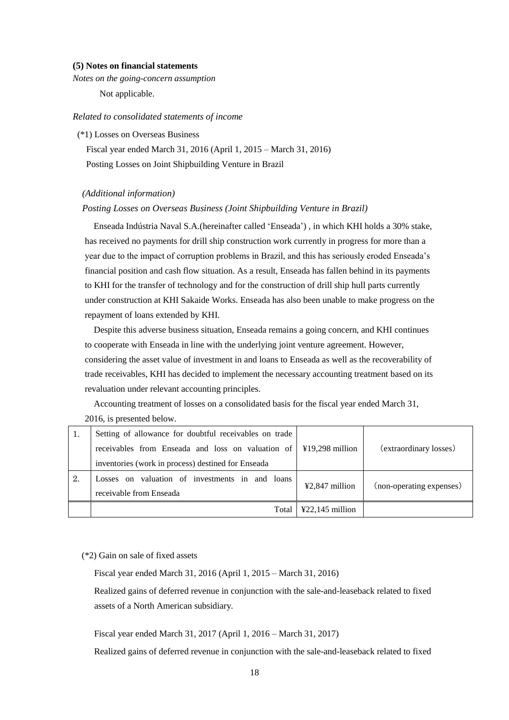### **(5) Notes on financial statements**

*Notes on the going-concern assumption*  Not applicable.

#### *Related to consolidated statements of income*

(\*1) Losses on Overseas Business

Fiscal year ended March 31, 2016 (April 1, 2015 – March 31, 2016)

Posting Losses on Joint Shipbuilding Venture in Brazil

### *(Additional information)*

#### *Posting Losses on Overseas Business (Joint Shipbuilding Venture in Brazil)*

Enseada Indústria Naval S.A.(hereinafter called 'Enseada') , in which KHI holds a 30% stake, has received no payments for drill ship construction work currently in progress for more than a year due to the impact of corruption problems in Brazil, and this has seriously eroded Enseada's financial position and cash flow situation. As a result, Enseada has fallen behind in its payments to KHI for the transfer of technology and for the construction of drill ship hull parts currently under construction at KHI Sakaide Works. Enseada has also been unable to make progress on the repayment of loans extended by KHI.

 Despite this adverse business situation, Enseada remains a going concern, and KHI continues to cooperate with Enseada in line with the underlying joint venture agreement. However, considering the asset value of investment in and loans to Enseada as well as the recoverability of trade receivables, KHI has decided to implement the necessary accounting treatment based on its revaluation under relevant accounting principles.

Accounting treatment of losses on a consolidated basis for the fiscal year ended March 31,

2016, is presented below.

|    | Setting of allowance for doubtful receivables on trade |                                      |                          |
|----|--------------------------------------------------------|--------------------------------------|--------------------------|
|    |                                                        |                                      | (extraordinary losses)   |
|    | inventories (work in process) destined for Enseada     |                                      |                          |
| 2. | Losses on valuation of investments in and loans        | ¥2,847 million                       | (non-operating expenses) |
|    | receivable from Enseada                                |                                      |                          |
|    | Total                                                  | $\text{\textsterling}22,145$ million |                          |

### (\*2) Gain on sale of fixed assets

Fiscal year ended March 31, 2016 (April 1, 2015 – March 31, 2016)

Realized gains of deferred revenue in conjunction with the sale-and-leaseback related to fixed assets of a North American subsidiary.

Fiscal year ended March 31, 2017 (April 1, 2016 – March 31, 2017)

Realized gains of deferred revenue in conjunction with the sale-and-leaseback related to fixed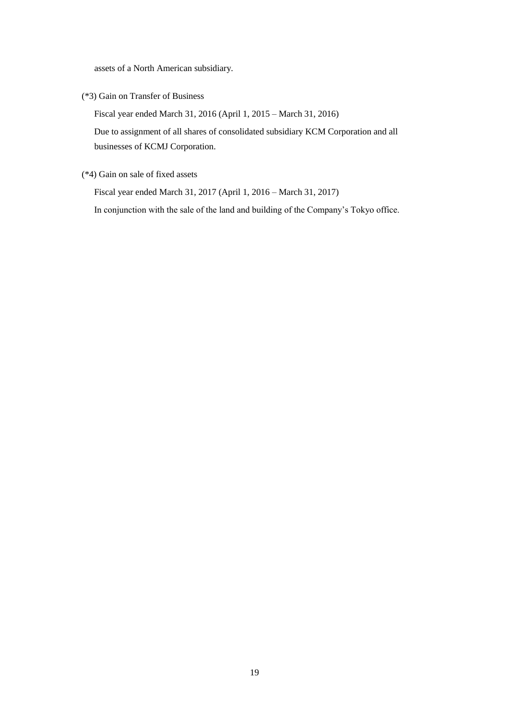assets of a North American subsidiary.

(\*3) Gain on Transfer of Business

Fiscal year ended March 31, 2016 (April 1, 2015 – March 31, 2016)

Due to assignment of all shares of consolidated subsidiary KCM Corporation and all businesses of KCMJ Corporation.

(\*4) Gain on sale of fixed assets

Fiscal year ended March 31, 2017 (April 1, 2016 – March 31, 2017)

In conjunction with the sale of the land and building of the Company's Tokyo office.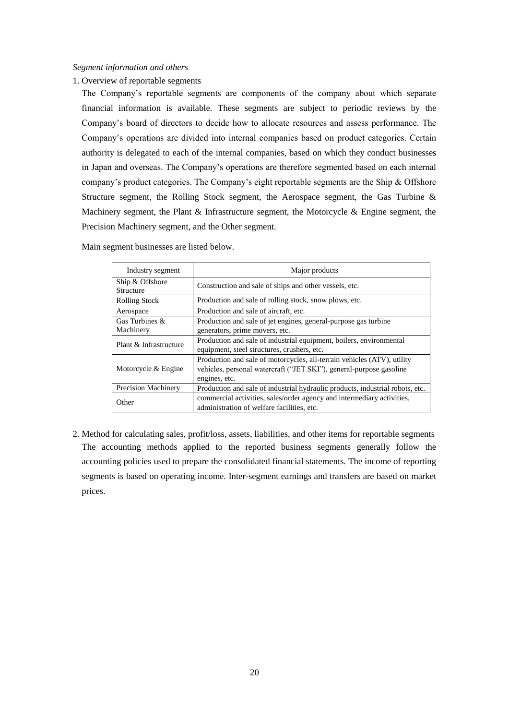### *Segment information and others*

1. Overview of reportable segments

The Company's reportable segments are components of the company about which separate financial information is available. These segments are subject to periodic reviews by the Company's board of directors to decide how to allocate resources and assess performance. The Company's operations are divided into internal companies based on product categories. Certain authority is delegated to each of the internal companies, based on which they conduct businesses in Japan and overseas. The Company's operations are therefore segmented based on each internal company's product categories. The Company's eight reportable segments are the Ship & Offshore Structure segment, the Rolling Stock segment, the Aerospace segment, the Gas Turbine & Machinery segment, the Plant & Infrastructure segment, the Motorcycle & Engine segment, the Precision Machinery segment, and the Other segment.

| Industry segment                    | Major products                                                                                                                                                  |
|-------------------------------------|-----------------------------------------------------------------------------------------------------------------------------------------------------------------|
| Ship & Offshore<br><b>Structure</b> | Construction and sale of ships and other vessels, etc.                                                                                                          |
| <b>Rolling Stock</b>                | Production and sale of rolling stock, snow plows, etc.                                                                                                          |
| Aerospace                           | Production and sale of aircraft, etc.                                                                                                                           |
| Gas Turbines &<br>Machinery         | Production and sale of jet engines, general-purpose gas turbine<br>generators, prime movers, etc.                                                               |
| Plant & Infrastructure              | Production and sale of industrial equipment, boilers, environmental<br>equipment, steel structures, crushers, etc.                                              |
| Motorcycle & Engine                 | Production and sale of motorcycles, all-terrain vehicles (ATV), utility<br>vehicles, personal watercraft ("JET SKI"), general-purpose gasoline<br>engines, etc. |
| <b>Precision Machinery</b>          | Production and sale of industrial hydraulic products, industrial robots, etc.                                                                                   |
| Other                               | commercial activities, sales/order agency and intermediary activities,<br>administration of welfare facilities, etc.                                            |

Main segment businesses are listed below.

2. Method for calculating sales, profit/loss, assets, liabilities, and other items for reportable segments The accounting methods applied to the reported business segments generally follow the accounting policies used to prepare the consolidated financial statements. The income of reporting segments is based on operating income. Inter-segment earnings and transfers are based on market prices.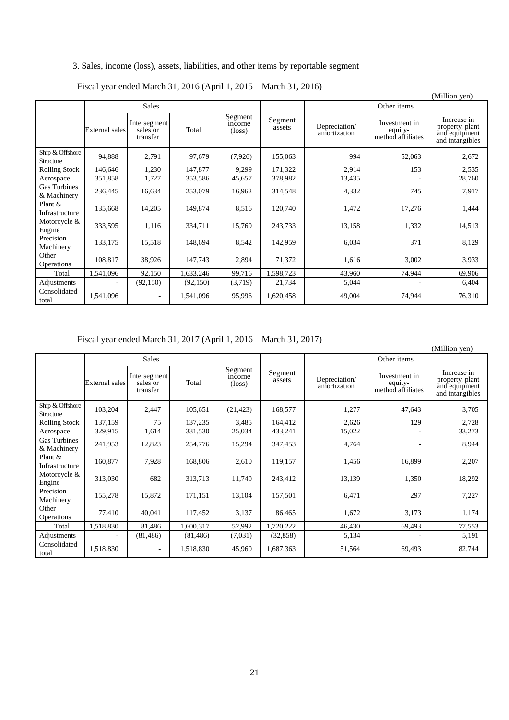# 3. Sales, income (loss), assets, liabilities, and other items by reportable segment

Fiscal year ended March 31, 2016 (April 1, 2015 – March 31, 2016)

|                                    |                       |                                      |           |                                      |                   |                               |                                               | (Million yen)                                                      |  |  |
|------------------------------------|-----------------------|--------------------------------------|-----------|--------------------------------------|-------------------|-------------------------------|-----------------------------------------------|--------------------------------------------------------------------|--|--|
|                                    |                       | <b>Sales</b>                         |           |                                      |                   |                               | Other items                                   |                                                                    |  |  |
|                                    | <b>External</b> sales | Intersegment<br>sales or<br>transfer | Total     | Segment<br>income<br>$(\text{loss})$ | Segment<br>assets | Depreciation/<br>amortization | Investment in<br>equity-<br>method affiliates | Increase in<br>property, plant<br>and equipment<br>and intangibles |  |  |
| Ship & Offshore<br>Structure       | 94,888                | 2,791                                | 97,679    | (7,926)                              | 155,063           | 994                           | 52,063                                        | 2,672                                                              |  |  |
| <b>Rolling Stock</b>               | 146,646               | 1,230                                | 147,877   | 9,299                                | 171,322           | 2,914                         | 153                                           | 2,535                                                              |  |  |
| Aerospace                          | 351,858               | 1,727                                | 353,586   | 45,657                               | 378,982           | 13,435                        |                                               | 28,760                                                             |  |  |
| <b>Gas Turbines</b><br>& Machinery | 236,445               | 16,634                               | 253,079   | 16,962                               | 314,548           | 4,332                         | 745                                           | 7,917                                                              |  |  |
| Plant &<br>Infrastructure          | 135,668               | 14,205                               | 149,874   | 8,516                                | 120,740           | 1,472                         | 17,276                                        | 1,444                                                              |  |  |
| Motorcycle $&$<br>Engine           | 333,595               | 1,116                                | 334,711   | 15,769                               | 243,733           | 13,158                        | 1,332                                         | 14,513                                                             |  |  |
| Precision<br>Machinery             | 133,175               | 15,518                               | 148,694   | 8,542                                | 142,959           | 6,034                         | 371                                           | 8,129                                                              |  |  |
| Other<br><b>Operations</b>         | 108,817               | 38,926                               | 147,743   | 2,894                                | 71,372            | 1,616                         | 3,002                                         | 3,933                                                              |  |  |
| Total                              | 1,541,096             | 92,150                               | 1,633,246 | 99,716                               | 1,598,723         | 43,960                        | 74,944                                        | 69,906                                                             |  |  |
| Adjustments                        |                       | (92, 150)                            | (92, 150) | (3,719)                              | 21,734            | 5,044                         |                                               | 6,404                                                              |  |  |
| Consolidated<br>total              | 1,541,096             |                                      | 1,541,096 | 95,996                               | 1,620,458         | 49,004                        | 74,944                                        | 76,310                                                             |  |  |

Fiscal year ended March 31, 2017 (April 1, 2016 – March 31, 2017)

|                                    |                       |                                      |           |                                      |                   |                               |                                               | (Million yen)                                                      |
|------------------------------------|-----------------------|--------------------------------------|-----------|--------------------------------------|-------------------|-------------------------------|-----------------------------------------------|--------------------------------------------------------------------|
|                                    |                       | <b>Sales</b>                         |           |                                      |                   |                               | Other items                                   |                                                                    |
|                                    | <b>External</b> sales | Intersegment<br>sales or<br>transfer | Total     | Segment<br>income<br>$(\text{loss})$ | Segment<br>assets | Depreciation/<br>amortization | Investment in<br>equity-<br>method affiliates | Increase in<br>property, plant<br>and equipment<br>and intangibles |
| Ship & Offshore<br>Structure       | 103,204               | 2,447                                | 105,651   | (21, 423)                            | 168,577           | 1,277                         | 47,643                                        | 3,705                                                              |
| <b>Rolling Stock</b>               | 137,159               | 75                                   | 137,235   | 3,485                                | 164,412           | 2,626                         | 129                                           | 2,728                                                              |
| Aerospace                          | 329,915               | 1,614                                | 331,530   | 25,034                               | 433,241           | 15,022                        |                                               | 33,273                                                             |
| <b>Gas Turbines</b><br>& Machinery | 241,953               | 12,823                               | 254,776   | 15,294                               | 347,453           | 4,764                         | ۰                                             | 8,944                                                              |
| Plant $&$<br>Infrastructure        | 160,877               | 7,928                                | 168,806   | 2,610                                | 119,157           | 1,456                         | 16,899                                        | 2,207                                                              |
| Motorcycle $&$<br>Engine           | 313,030               | 682                                  | 313,713   | 11,749                               | 243,412           | 13,139                        | 1,350                                         | 18,292                                                             |
| Precision<br>Machinery             | 155,278               | 15,872                               | 171,151   | 13,104                               | 157,501           | 6,471                         | 297                                           | 7,227                                                              |
| Other<br>Operations                | 77,410                | 40,041                               | 117,452   | 3,137                                | 86,465            | 1,672                         | 3,173                                         | 1,174                                                              |
| Total                              | 1,518,830             | 81,486                               | 1,600,317 | 52,992                               | 1,720,222         | 46,430                        | 69,493                                        | 77,553                                                             |
| Adjustments                        |                       | (81, 486)                            | (81, 486) | (7,031)                              | (32, 858)         | 5,134                         |                                               | 5,191                                                              |
| Consolidated<br>total              | 1,518,830             | $\overline{\phantom{a}}$             | 1,518,830 | 45,960                               | 1,687,363         | 51,564                        | 69,493                                        | 82,744                                                             |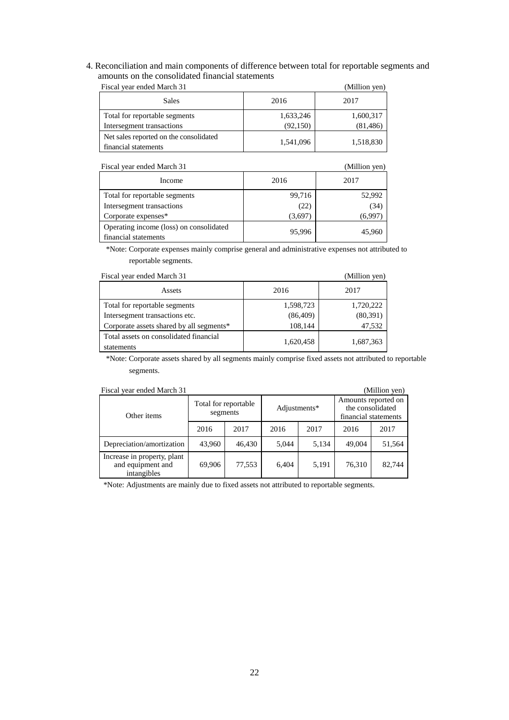4. Reconciliation and main components of difference between total for reportable segments and amounts on the consolidated financial statements

| Fiscal year ended March 31                                     |           | (Million yen) |
|----------------------------------------------------------------|-----------|---------------|
| <b>Sales</b>                                                   | 2016      | 2017          |
| Total for reportable segments                                  | 1,633,246 | 1,600,317     |
| Intersegment transactions                                      | (92, 150) | (81, 486)     |
| Net sales reported on the consolidated<br>financial statements | 1,541,096 | 1,518,830     |

| Fiscal year ended March 31                                      |         | (Million yen) |
|-----------------------------------------------------------------|---------|---------------|
| Income                                                          | 2016    | 2017          |
| Total for reportable segments                                   | 99,716  | 52,992        |
| Intersegment transactions                                       | (22)    | (34)          |
| Corporate expenses*                                             | (3,697) | (6.997        |
| Operating income (loss) on consolidated<br>financial statements | 95.996  | 45,960        |

\*Note: Corporate expenses mainly comprise general and administrative expenses not attributed to reportable segments.

| Fiscal year ended March 31                           |           | (Million yen) |
|------------------------------------------------------|-----------|---------------|
| Assets                                               | 2016      | 2017          |
| Total for reportable segments                        | 1,598,723 | 1,720,222     |
| Intersegment transactions etc.                       | (86, 409) | (80, 391)     |
| Corporate assets shared by all segments*             | 108,144   | 47,532        |
| Total assets on consolidated financial<br>statements | 1,620,458 | 1,687,363     |

\*Note: Corporate assets shared by all segments mainly comprise fixed assets not attributed to reportable segments.

| Fiscal year ended March 31                                      |                                  |        |       |              |                      | (Million yen)                           |
|-----------------------------------------------------------------|----------------------------------|--------|-------|--------------|----------------------|-----------------------------------------|
| Other items                                                     | Total for reportable<br>segments |        |       | Adjustments* | financial statements | Amounts reported on<br>the consolidated |
|                                                                 | 2016                             | 2017   | 2016  | 2017         | 2016                 | 2017                                    |
| Depreciation/amortization                                       | 43,960                           | 46.430 | 5.044 | 5,134        | 49,004               | 51,564                                  |
| Increase in property, plant<br>and equipment and<br>intangibles | 69.906                           | 77,553 | 6,404 | 5,191        | 76.310               | 82.744                                  |

\*Note: Adjustments are mainly due to fixed assets not attributed to reportable segments.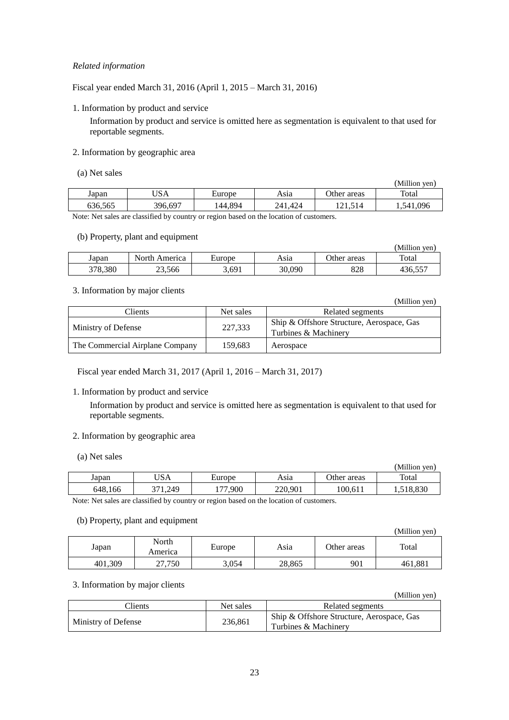# *Related information*

Fiscal year ended March 31, 2016 (April 1, 2015 – March 31, 2016)

1. Information by product and service

Information by product and service is omitted here as segmentation is equivalent to that used for reportable segments.

### 2. Information by geographic area

| (a) Net sales |  |  |  |  |
|---------------|--|--|--|--|
|---------------|--|--|--|--|

|         |         |         |         |             | (Million ven) |
|---------|---------|---------|---------|-------------|---------------|
| Japan   | JSA     | Europe  | Asıa    | Other areas | Total         |
| 636,565 | 396,697 | 144,894 | 241.424 | −11,514     | . 541,096     |

Note: Net sales are classified by country or region based on the location of customers.

### (b) Property, plant and equipment

|         |               |        |        |             | (Million ven) |
|---------|---------------|--------|--------|-------------|---------------|
| Japan   | North America | Europe | Asıa   | Other areas | Total         |
| 378.380 | 23.566        | 3,691  | 30,090 | 828         | 436,557       |

### 3. Information by major clients

|                                 |           | (Million yen)                                                     |
|---------------------------------|-----------|-------------------------------------------------------------------|
| Clients                         | Net sales | Related segments                                                  |
| Ministry of Defense             | 227,333   | Ship & Offshore Structure, Aerospace, Gas<br>Turbines & Machinery |
| The Commercial Airplane Company | 159.683   | Aerospace                                                         |

Fiscal year ended March 31, 2017 (April 1, 2016 – March 31, 2017)

# 1. Information by product and service

Information by product and service is omitted here as segmentation is equivalent to that used for reportable segments.

### 2. Information by geographic area

(a) Net sales

|         |             |           |         |             | (Million ven) |
|---------|-------------|-----------|---------|-------------|---------------|
| Japan   | USA         | Europe    | Asıa    | Other areas | Total         |
| 648,166 | .249<br>271 | .900<br>. | 220,901 | 100.611     | 518,830       |

Note: Net sales are classified by country or region based on the location of customers.

### (b) Property, plant and equipment

| - - -   |                  |        |        |             | (Million yen) |
|---------|------------------|--------|--------|-------------|---------------|
| Japan   | North<br>America | Europe | Asia   | Other areas | Total         |
| 401,309 | 27,750           | 3,054  | 28,865 | 901         | 461,881       |

### 3. Information by major clients

|                     |           | (Million yen)                             |
|---------------------|-----------|-------------------------------------------|
| Clients             | Net sales | Related segments                          |
| Ministry of Defense | 236,861   | Ship & Offshore Structure, Aerospace, Gas |
|                     |           | Turbines & Machinery                      |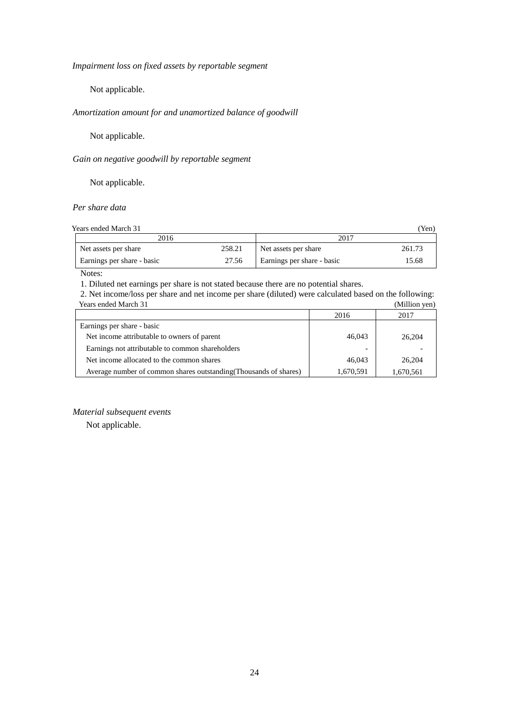*Impairment loss on fixed assets by reportable segment*

Not applicable.

# *Amortization amount for and unamortized balance of goodwill*

Not applicable.

# *Gain on negative goodwill by reportable segment*

Not applicable.

# *Per share data*

Years ended March 31 (Yen)

| 2016                       |        | 2017                       |        |  |
|----------------------------|--------|----------------------------|--------|--|
| Net assets per share       | 258.21 | Net assets per share       | 261.73 |  |
| Earnings per share - basic | 27.56  | Earnings per share - basic | 15.68  |  |

Notes:

1. Diluted net earnings per share is not stated because there are no potential shares.

2. Net income/loss per share and net income per share (diluted) were calculated based on the following: Years ended March 31 (Million yen)

|                                                                   | 2016      | 2017      |
|-------------------------------------------------------------------|-----------|-----------|
| Earnings per share - basic                                        |           |           |
| Net income attributable to owners of parent                       | 46,043    | 26,204    |
| Earnings not attributable to common shareholders                  | -         |           |
| Net income allocated to the common shares                         | 46,043    | 26,204    |
| Average number of common shares outstanding (Thousands of shares) | 1,670,591 | 1,670,561 |

### *Material subsequent events*

Not applicable.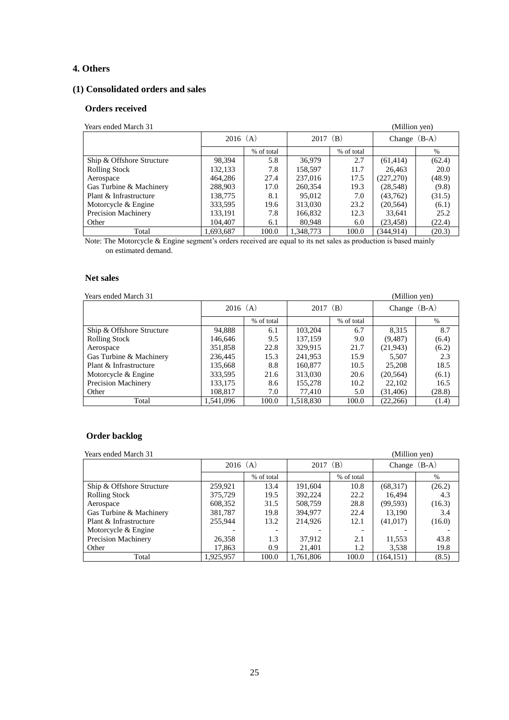# **4. Others**

# **(1) Consolidated orders and sales**

### **Orders received**

| Years ended March 31      |            |            |            |            | (Million yen)  |        |
|---------------------------|------------|------------|------------|------------|----------------|--------|
|                           | $2016$ (A) |            | $2017$ (B) |            | Change $(B-A)$ |        |
|                           |            | % of total |            | % of total |                | $\%$   |
| Ship & Offshore Structure | 98.394     | 5.8        | 36,979     | 2.7        | (61, 414)      | (62.4) |
| <b>Rolling Stock</b>      | 132,133    | 7.8        | 158,597    | 11.7       | 26,463         | 20.0   |
| Aerospace                 | 464,286    | 27.4       | 237,016    | 17.5       | (227, 270)     | (48.9) |
| Gas Turbine & Machinery   | 288,903    | 17.0       | 260,354    | 19.3       | (28, 548)      | (9.8)  |
| Plant & Infrastructure    | 138,775    | 8.1        | 95,012     | 7.0        | (43,762)       | (31.5) |
| Motorcycle & Engine       | 333,595    | 19.6       | 313,030    | 23.2       | (20, 564)      | (6.1)  |
| Precision Machinery       | 133,191    | 7.8        | 166,832    | 12.3       | 33,641         | 25.2   |
| Other                     | 104,407    | 6.1        | 80,948     | 6.0        | (23, 458)      | (22.4) |
| Total                     | 1,693,687  | 100.0      | 1.348.773  | 100.0      | (344.914)      | (20.3) |

Note: The Motorcycle & Engine segment's orders received are equal to its net sales as production is based mainly on estimated demand.

### **Net sales**

### Years ended March 31 (Million yen)

|                            |            |            |           |            | $\cdots$       |        |
|----------------------------|------------|------------|-----------|------------|----------------|--------|
|                            | $2016$ (A) |            | 2017      | (B)        | Change $(B-A)$ |        |
|                            |            | % of total |           | % of total |                | $\%$   |
| Ship & Offshore Structure  | 94,888     | 6.1        | 103,204   | 6.7        | 8.315          | 8.7    |
| <b>Rolling Stock</b>       | 146,646    | 9.5        | 137.159   | 9.0        | (9, 487)       | (6.4)  |
| Aerospace                  | 351,858    | 22.8       | 329,915   | 21.7       | (21, 943)      | (6.2)  |
| Gas Turbine & Machinery    | 236,445    | 15.3       | 241,953   | 15.9       | 5.507          | 2.3    |
| Plant & Infrastructure     | 135,668    | 8.8        | 160,877   | 10.5       | 25,208         | 18.5   |
| Motorcycle & Engine        | 333,595    | 21.6       | 313,030   | 20.6       | (20, 564)      | (6.1)  |
| <b>Precision Machinery</b> | 133,175    | 8.6        | 155,278   | 10.2       | 22,102         | 16.5   |
| Other                      | 108,817    | 7.0        | 77,410    | 5.0        | (31, 406)      | (28.8) |
| Total                      | 1.541.096  | 100.0      | 1,518,830 | 100.0      | (22, 266)      | (1.4)  |

# **Order backlog**

| Years ended March 31      |            |                          |            |            | (Million yen)  |        |
|---------------------------|------------|--------------------------|------------|------------|----------------|--------|
|                           | $2016$ (A) |                          | $2017$ (B) |            | Change $(B-A)$ |        |
|                           |            | % of total               |            | % of total |                | $\%$   |
| Ship & Offshore Structure | 259.921    | 13.4                     | 191.604    | 10.8       | (68,317)       | (26.2) |
| <b>Rolling Stock</b>      | 375,729    | 19.5                     | 392.224    | 22.2       | 16.494         | 4.3    |
| Aerospace                 | 608,352    | 31.5                     | 508,759    | 28.8       | (99, 593)      | (16.3) |
| Gas Turbine & Machinery   | 381,787    | 19.8                     | 394,977    | 22.4       | 13,190         | 3.4    |
| Plant & Infrastructure    | 255,944    | 13.2                     | 214,926    | 12.1       | (41,017)       | (16.0) |
| Motorcycle & Engine       |            | $\overline{\phantom{0}}$ |            |            |                |        |
| Precision Machinery       | 26,358     | 1.3                      | 37,912     | 2.1        | 11,553         | 43.8   |
| Other                     | 17,863     | 0.9                      | 21,401     | 1.2        | 3,538          | 19.8   |
| Total                     | 1,925,957  | 100.0                    | 1.761.806  | 100.0      | (164.151)      | (8.5)  |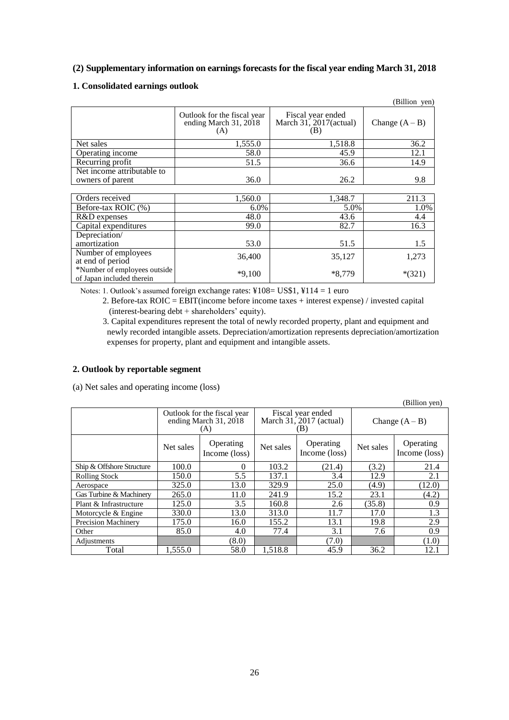# **(2) Supplementary information on earnings forecasts for the fiscal year ending March 31, 2018**

# **1. Consolidated earnings outlook**

|                                                           |                                                             |                                                       | (Billion yen)    |
|-----------------------------------------------------------|-------------------------------------------------------------|-------------------------------------------------------|------------------|
|                                                           | Outlook for the fiscal year<br>ending March 31, 2018<br>(A) | Fiscal year ended<br>March $31, 2017$ (actual)<br>(B) | Change $(A - B)$ |
| Net sales                                                 | 1,555.0                                                     | 1,518.8                                               | 36.2             |
| Operating income                                          | 58.0                                                        | 45.9                                                  | 12.1             |
| Recurring profit                                          | 51.5                                                        | 36.6                                                  | 14.9             |
| Net income attributable to                                |                                                             |                                                       |                  |
| owners of parent                                          | 36.0                                                        | 26.2                                                  | 9.8              |
|                                                           |                                                             |                                                       |                  |
| Orders received                                           | 1,560.0                                                     | 1,348.7                                               | 211.3            |
| Before-tax ROIC (%)                                       | $6.0\%$                                                     | 5.0%                                                  | 1.0%             |
| R&D expenses                                              | 48.0                                                        | 43.6                                                  | 4.4              |
| Capital expenditures                                      | 99.0                                                        | 82.7                                                  | 16.3             |
| Depreciation/                                             |                                                             |                                                       |                  |
| amortization                                              | 53.0                                                        | 51.5                                                  | 1.5              |
| Number of employees<br>at end of period                   | 36,400                                                      | 35,127                                                | 1,273            |
| *Number of employees outside<br>of Japan included therein | $*9,100$                                                    | $*8,779$                                              | $*(321)$         |

Notes: 1. Outlook's assumed foreign exchange rates: ¥108= US\$1, ¥114 = 1 euro

- 2. Before-tax ROIC = EBIT(income before income taxes + interest expense) / invested capital (interest-bearing debt + shareholders' equity).
- 3. Capital expenditures represent the total of newly recorded property, plant and equipment and newly recorded intangible assets. Depreciation/amortization represents depreciation/amortization expenses for property, plant and equipment and intangible assets.

### **2. Outlook by reportable segment**

(a) Net sales and operating income (loss)

|                            |                                                             |                            |                                                       |                            |                  | (Billion yen)              |
|----------------------------|-------------------------------------------------------------|----------------------------|-------------------------------------------------------|----------------------------|------------------|----------------------------|
|                            | Outlook for the fiscal year<br>ending March 31, 2018<br>(A) |                            | Fiscal year ended<br>March $31, 2017$ (actual)<br>(B) |                            | Change $(A - B)$ |                            |
|                            | Net sales                                                   | Operating<br>Income (loss) | Net sales                                             | Operating<br>Income (loss) | Net sales        | Operating<br>Income (loss) |
| Ship & Offshore Structure  | 100.0                                                       | $\Omega$                   | 103.2                                                 | (21.4)                     | (3.2)            | 21.4                       |
| <b>Rolling Stock</b>       | 150.0                                                       | 5.5                        | 137.1                                                 | 3.4                        | 12.9             | 2.1                        |
| Aerospace                  | 325.0                                                       | 13.0                       | 329.9                                                 | 25.0                       | (4.9)            | (12.0)                     |
| Gas Turbine & Machinery    | 265.0                                                       | 11.0                       | 241.9                                                 | 15.2                       | 23.1             | (4.2)                      |
| Plant & Infrastructure     | 125.0                                                       | 3.5                        | 160.8                                                 | 2.6                        | (35.8)           | 0.9                        |
| Motorcycle & Engine        | 330.0                                                       | 13.0                       | 313.0                                                 | 11.7                       | 17.0             | 1.3                        |
| <b>Precision Machinery</b> | 175.0                                                       | 16.0                       | 155.2                                                 | 13.1                       | 19.8             | 2.9                        |
| Other                      | 85.0                                                        | 4.0                        | 77.4                                                  | 3.1                        | 7.6              | 0.9                        |
| Adjustments                |                                                             | (8.0)                      |                                                       | (7.0)                      |                  | (1.0)                      |
| Total                      | 1,555.0                                                     | 58.0                       | 1,518.8                                               | 45.9                       | 36.2             | 12.1                       |

26